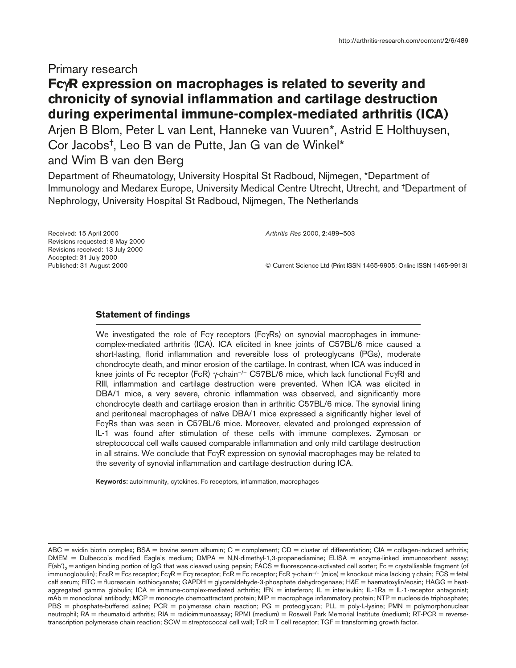## Primary research

# **Fc**γ**R expression on macrophages is related to severity and chronicity of synovial inflammation and cartilage destruction during experimental immune-complex-mediated arthritis (ICA)**

Arjen B Blom, Peter L van Lent, Hanneke van Vuuren\*, Astrid E Holthuysen, Cor Jacobs†, Leo B van de Putte, Jan G van de Winkel\* and Wim B van den Berg

Department of Rheumatology, University Hospital St Radboud, Nijmegen, \*Department of Immunology and Medarex Europe, University Medical Centre Utrecht, Utrecht, and †Department of Nephrology, University Hospital St Radboud, Nijmegen, The Netherlands

Received: 15 April 2000 Revisions requested: 8 May 2000 Revisions received: 13 July 2000 Accepted: 31 July 2000 Published: 31 August 2000

*Arthritis Res* 2000, **2**:489–503

© Current Science Ltd (Print ISSN 1465-9905; Online ISSN 1465-9913)

## **Statement of findings**

We investigated the role of Fcγ receptors (FcγRs) on synovial macrophages in immunecomplex-mediated arthritis (ICA). ICA elicited in knee joints of C57BL/6 mice caused a short-lasting, florid inflammation and reversible loss of proteoglycans (PGs), moderate chondrocyte death, and minor erosion of the cartilage. In contrast, when ICA was induced in knee joints of Fc receptor (FcR)  $\gamma$ -chain<sup>-/-</sup> C57BL/6 mice, which lack functional Fc $\gamma$ RI and RIII, inflammation and cartilage destruction were prevented. When ICA was elicited in DBA/1 mice, a very severe, chronic inflammation was observed, and significantly more chondrocyte death and cartilage erosion than in arthritic C57BL/6 mice. The synovial lining and peritoneal macrophages of naïve DBA/1 mice expressed a significantly higher level of FcγRs than was seen in C57BL/6 mice. Moreover, elevated and prolonged expression of IL-1 was found after stimulation of these cells with immune complexes. Zymosan or streptococcal cell walls caused comparable inflammation and only mild cartilage destruction in all strains. We conclude that FcγR expression on synovial macrophages may be related to the severity of synovial inflammation and cartilage destruction during ICA.

**Keywords:** autoimmunity, cytokines, Fc receptors, inflammation, macrophages

ABC = avidin biotin complex;  $BSA =$  bovine serum albumin;  $C =$  complement;  $CD =$  cluster of differentiation;  $CIA =$  collagen-induced arthritis; DMEM = Dulbecco's modified Eagle's medium; DMPA = N,N-dimethyl-1,3-propanediamine; ELISA = enzyme-linked immunosorbent assay;  $F(ab')_2$  = antigen binding portion of IgG that was cleaved using pepsin; FACS = fluorescence-activated cell sorter; Fc = crystallisable fragment (of immunoglobulin); FcεR = Fcε receptor; FcγR = Fcγ receptor; FcR = Fc receptor; FcR γ-chain<sup>-/-</sup> (mice) = knockout mice lacking γ chain; FCS = fetal calf serum; FITC = fluorescein isothiocyanate; GAPDH = glyceraldehyde-3-phosphate dehydrogenase; H&E = haematoxylin/eosin; HAGG = heataggregated gamma globulin; ICA = immune-complex-mediated arthritis; IFN = interferon; IL = interleukin; IL-1Ra = IL-1-receptor antagonist; mAb = monoclonal antibody; MCP = monocyte chemoattractant protein; MIP = macrophage inflammatory protein; NTP = nucleoside triphosphate; PBS = phosphate-buffered saline; PCR = polymerase chain reaction; PG = proteoglycan; PLL = poly-L-lysine; PMN = polymorphonuclear neutrophil; RA = rheumatoid arthritis; RIA = radioimmunoassay; RPMI (medium) = Roswell Park Memorial Institute (medium); RT-PCR = reversetranscription polymerase chain reaction; SCW = streptococcal cell wall; TcR = T cell receptor; TGF = transforming growth factor.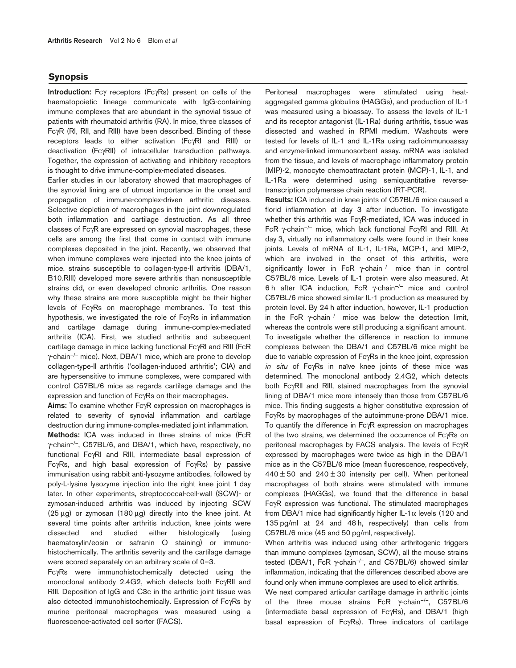## **Synopsis**

**Introduction:** Fcγ receptors (FcγRs) present on cells of the haematopoietic lineage communicate with IgG-containing immune complexes that are abundant in the synovial tissue of patients with rheumatoid arthritis (RA). In mice, three classes of FcγR (RI, RII, and RIII) have been described. Binding of these receptors leads to either activation (FcγRI and RIII) or deactivation (FcγRII) of intracellular transduction pathways. Together, the expression of activating and inhibitory receptors is thought to drive immune-complex-mediated diseases.

Earlier studies in our laboratory showed that macrophages of the synovial lining are of utmost importance in the onset and propagation of immune-complex-driven arthritic diseases. Selective depletion of macrophages in the joint downregulated both inflammation and cartilage destruction. As all three classes of FcγR are expressed on synovial macrophages, these cells are among the first that come in contact with immune complexes deposited in the joint. Recently, we observed that when immune complexes were injected into the knee joints of mice, strains susceptible to collagen-type-II arthritis (DBA/1, B10.RIII) developed more severe arthritis than nonsusceptible strains did, or even developed chronic arthritis. One reason why these strains are more susceptible might be their higher levels of FcγRs on macrophage membranes. To test this hypothesis, we investigated the role of FcγRs in inflammation and cartilage damage during immune-complex-mediated arthritis (ICA). First, we studied arthritis and subsequent cartilage damage in mice lacking functional FcγRI and RIII (FcR γ-chain–/– mice). Next, DBA/1 mice, which are prone to develop collagen-type-II arthritis ('collagen-induced arthritis'; CIA) and are hypersensitive to immune complexes, were compared with control C57BL/6 mice as regards cartilage damage and the expression and function of FcγRs on their macrophages.

**Aims:** To examine whether FcγR expression on macrophages is related to severity of synovial inflammation and cartilage destruction during immune-complex-mediated joint inflammation. **Methods:** ICA was induced in three strains of mice (FcR γ-chain–/–, C57BL/6, and DBA/1, which have, respectively, no functional FcγRI and RIII, intermediate basal expression of FcγRs, and high basal expression of FcγRs) by passive immunisation using rabbit anti-lysozyme antibodies, followed by poly-L-lysine lysozyme injection into the right knee joint 1 day later. In other experiments, streptococcal-cell-wall (SCW)- or zymosan-induced arthritis was induced by injecting SCW (25 µg) or zymosan (180 µg) directly into the knee joint. At several time points after arthritis induction, knee joints were dissected and studied either histologically (using haematoxylin/eosin or safranin O staining) or immunohistochemically. The arthritis severity and the cartilage damage were scored separately on an arbitrary scale of 0–3.

FcγRs were immunohistochemically detected using the monoclonal antibody 2.4G2, which detects both FcγRII and RIII. Deposition of IgG and C3c in the arthritic joint tissue was also detected immunohistochemically. Expression of FcγRs by murine peritoneal macrophages was measured using a fluorescence-activated cell sorter (FACS).

Peritoneal macrophages were stimulated using heataggregated gamma globulins (HAGGs), and production of IL-1 was measured using a bioassay. To assess the levels of IL-1 and its receptor antagonist (IL-1Ra) during arthritis, tissue was dissected and washed in RPMI medium. Washouts were tested for levels of IL-1 and IL-1Ra using radioimmunoassay and enzyme-linked immunosorbent assay. mRNA was isolated from the tissue, and levels of macrophage inflammatory protein (MIP)-2, monocyte chemoattractant protein (MCP)-1, IL-1, and IL-1Ra were determined using semiquantitative reversetranscription polymerase chain reaction (RT-PCR).

**Results:** ICA induced in knee joints of C57BL/6 mice caused a florid inflammation at day 3 after induction. To investigate whether this arthritis was FcγR-mediated, ICA was induced in FcR γ-chain–/– mice, which lack functional FcγRI and RIII. At day 3, virtually no inflammatory cells were found in their knee joints. Levels of mRNA of IL-1, IL-1Ra, MCP-1, and MIP-2, which are involved in the onset of this arthritis, were significantly lower in FcR  $\gamma$ -chain<sup>-/-</sup> mice than in control C57BL/6 mice. Levels of IL-1 protein were also measured. At 6 h after ICA induction, FcR γ-chain–/– mice and control C57BL/6 mice showed similar IL-1 production as measured by protein level. By 24 h after induction, however, IL-1 production in the FcR  $\gamma$ -chain<sup>-/-</sup> mice was below the detection limit, whereas the controls were still producing a significant amount. To investigate whether the difference in reaction to immune complexes between the DBA/1 and C57BL/6 mice might be due to variable expression of FcγRs in the knee joint, expression *in situ* of FcγRs in naïve knee joints of these mice was determined. The monoclonal antibody 2.4G2, which detects both FcγRII and RIII, stained macrophages from the synovial lining of DBA/1 mice more intensely than those from C57BL/6 mice. This finding suggests a higher constitutive expression of FcγRs by macrophages of the autoimmune-prone DBA/1 mice. To quantify the difference in FcγR expression on macrophages of the two strains, we determined the occurrence of FcγRs on peritoneal macrophages by FACS analysis. The levels of FcγR expressed by macrophages were twice as high in the DBA/1 mice as in the C57BL/6 mice (mean fluorescence, respectively,  $440 \pm 50$  and  $240 \pm 30$  intensity per cell). When peritoneal macrophages of both strains were stimulated with immune complexes (HAGGs), we found that the difference in basal FcγR expression was functional. The stimulated macrophages from DBA/1 mice had significantly higher IL-1 $\alpha$  levels (120 and 135 pg/ml at 24 and 48 h, respectively) than cells from C57BL/6 mice (45 and 50 pg/ml, respectively).

When arthritis was induced using other arthritogenic triggers than immune complexes (zymosan, SCW), all the mouse strains tested (DBA/1, FcR γ-chain<sup>-/-</sup>, and C57BL/6) showed similar inflammation, indicating that the differences described above are found only when immune complexes are used to elicit arthritis.

We next compared articular cartilage damage in arthritic joints of the three mouse strains FcR γ-chain–/–, C57BL/6 (intermediate basal expression of FcγRs), and DBA/1 (high basal expression of FcγRs). Three indicators of cartilage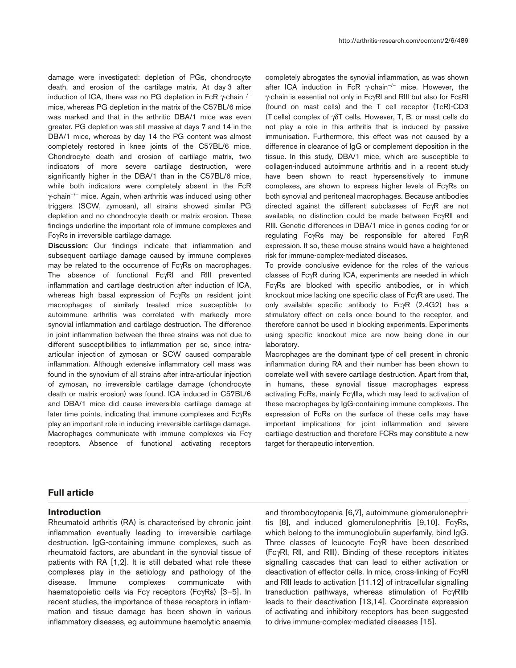damage were investigated: depletion of PGs, chondrocyte death, and erosion of the cartilage matrix. At day 3 after induction of ICA, there was no PG depletion in FcR  $\gamma$ -chain<sup>-/-</sup> mice, whereas PG depletion in the matrix of the C57BL/6 mice was marked and that in the arthritic DBA/1 mice was even greater. PG depletion was still massive at days 7 and 14 in the DBA/1 mice, whereas by day 14 the PG content was almost completely restored in knee joints of the C57BL/6 mice. Chondrocyte death and erosion of cartilage matrix, two indicators of more severe cartilage destruction, were significantly higher in the DBA/1 than in the C57BL/6 mice, while both indicators were completely absent in the FcR γ-chain–/– mice. Again, when arthritis was induced using other triggers (SCW, zymosan), all strains showed similar PG depletion and no chondrocyte death or matrix erosion. These findings underline the important role of immune complexes and FcγRs in irreversible cartilage damage.

**Discussion:** Our findings indicate that inflammation and subsequent cartilage damage caused by immune complexes may be related to the occurrence of FcγRs on macrophages. The absence of functional FcγRI and RIII prevented inflammation and cartilage destruction after induction of ICA, whereas high basal expression of FcγRs on resident joint macrophages of similarly treated mice susceptible to autoimmune arthritis was correlated with markedly more synovial inflammation and cartilage destruction. The difference in joint inflammation between the three strains was not due to different susceptibilities to inflammation per se, since intraarticular injection of zymosan or SCW caused comparable inflammation. Although extensive inflammatory cell mass was found in the synovium of all strains after intra-articular injection of zymosan, no irreversible cartilage damage (chondrocyte death or matrix erosion) was found. ICA induced in C57BL/6 and DBA/1 mice did cause irreversible cartilage damage at later time points, indicating that immune complexes and FcγRs play an important role in inducing irreversible cartilage damage. Macrophages communicate with immune complexes via Fcγ receptors. Absence of functional activating receptors

completely abrogates the synovial inflammation, as was shown after ICA induction in FcR  $\gamma$ -chain<sup>-/-</sup> mice. However, the γ-chain is essential not only in FcγRI and RIII but also for FcεRI (found on mast cells) and the T cell receptor (TcR)-CD3 (T cells) complex of γδT cells. However, T, B, or mast cells do not play a role in this arthritis that is induced by passive immunisation. Furthermore, this effect was not caused by a difference in clearance of IgG or complement deposition in the tissue. In this study, DBA/1 mice, which are susceptible to collagen-induced autoimmune arthritis and in a recent study have been shown to react hypersensitively to immune complexes, are shown to express higher levels of FcγRs on both synovial and peritoneal macrophages. Because antibodies directed against the different subclasses of FcγR are not available, no distinction could be made between FcγRII and RIII. Genetic differences in DBA/1 mice in genes coding for or regulating FcγRs may be responsible for altered FcγR expression. If so, these mouse strains would have a heightened risk for immune-complex-mediated diseases.

To provide conclusive evidence for the roles of the various classes of FcγR during ICA, experiments are needed in which FcγRs are blocked with specific antibodies, or in which knockout mice lacking one specific class of FcγR are used. The only available specific antibody to FcγR (2.4G2) has a stimulatory effect on cells once bound to the receptor, and therefore cannot be used in blocking experiments. Experiments using specific knockout mice are now being done in our laboratory.

Macrophages are the dominant type of cell present in chronic inflammation during RA and their number has been shown to correlate well with severe cartilage destruction. Apart from that, in humans, these synovial tissue macrophages express activating FcRs, mainly FcγIIIa, which may lead to activation of these macrophages by IgG-containing immune complexes. The expression of FcRs on the surface of these cells may have important implications for joint inflammation and severe cartilage destruction and therefore FCRs may constitute a new target for therapeutic intervention.

## **Full article**

## **Introduction**

Rheumatoid arthritis (RA) is characterised by chronic joint inflammation eventually leading to irreversible cartilage destruction. IgG-containing immune complexes, such as rheumatoid factors, are abundant in the synovial tissue of patients with RA [1,2]. It is still debated what role these complexes play in the aetiology and pathology of the disease. Immune complexes communicate with haematopoietic cells via Fcγ receptors (FcγRs) [3–5]. In recent studies, the importance of these receptors in inflammation and tissue damage has been shown in various inflammatory diseases, eg autoimmune haemolytic anaemia

and thrombocytopenia [6,7], autoimmune glomerulonephritis [8], and induced glomerulonephritis [9,10]. FcγRs, which belong to the immunoglobulin superfamily, bind IgG. Three classes of leucocyte FcγR have been described (FcγRI, RII, and RIII). Binding of these receptors initiates signalling cascades that can lead to either activation or deactivation of effector cells. In mice, cross-linking of FcγRI and RIII leads to activation [11,12] of intracellular signalling transduction pathways, whereas stimulation of FcγRIIb leads to their deactivation [13,14]. Coordinate expression of activating and inhibitory receptors has been suggested to drive immune-complex-mediated diseases [15].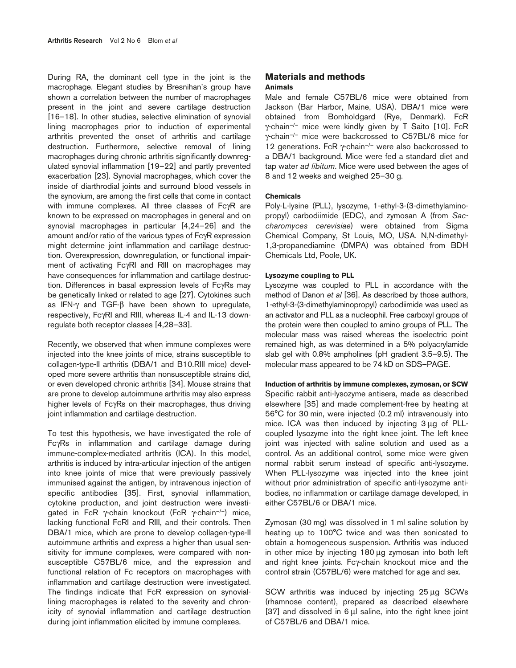During RA, the dominant cell type in the joint is the macrophage. Elegant studies by Bresnihan's group have shown a correlation between the number of macrophages present in the joint and severe cartilage destruction [16–18]. In other studies, selective elimination of synovial lining macrophages prior to induction of experimental arthritis prevented the onset of arthritis and cartilage destruction. Furthermore, selective removal of lining macrophages during chronic arthritis significantly downregulated synovial inflammation [19–22] and partly prevented exacerbation [23]. Synovial macrophages, which cover the inside of diarthrodial joints and surround blood vessels in the synovium, are among the first cells that come in contact with immune complexes. All three classes of FcγR are known to be expressed on macrophages in general and on synovial macrophages in particular [4,24–26] and the amount and/or ratio of the various types of FcγR expression might determine joint inflammation and cartilage destruction. Overexpression, downregulation, or functional impairment of activating FcγRI and RIII on macrophages may have consequences for inflammation and cartilage destruction. Differences in basal expression levels of FcγRs may be genetically linked or related to age [27]. Cytokines such as IFN-γ and TGF-β have been shown to upregulate, respectively, FcγRI and RIII, whereas IL-4 and IL-13 downregulate both receptor classes [4,28–33].

Recently, we observed that when immune complexes were injected into the knee joints of mice, strains susceptible to collagen-type-II arthritis (DBA/1 and B10.RIII mice) developed more severe arthritis than nonsusceptible strains did, or even developed chronic arthritis [34]. Mouse strains that are prone to develop autoimmune arthritis may also express higher levels of FcγRs on their macrophages, thus driving joint inflammation and cartilage destruction.

To test this hypothesis, we have investigated the role of FcγRs in inflammation and cartilage damage during immune-complex-mediated arthritis (ICA). In this model, arthritis is induced by intra-articular injection of the antigen into knee joints of mice that were previously passively immunised against the antigen, by intravenous injection of specific antibodies [35]. First, synovial inflammation, cytokine production, and joint destruction were investigated in FcR γ-chain knockout (FcR γ-chain–/–) mice, lacking functional FcRI and RIII, and their controls. Then DBA/1 mice, which are prone to develop collagen-type-II autoimmune arthritis and express a higher than usual sensitivity for immune complexes, were compared with nonsusceptible C57BL/6 mice, and the expression and functional relation of Fc receptors on macrophages with inflammation and cartilage destruction were investigated. The findings indicate that FcR expression on synoviallining macrophages is related to the severity and chronicity of synovial inflammation and cartilage destruction during joint inflammation elicited by immune complexes.

## **Materials and methods Animals**

Male and female C57BL/6 mice were obtained from Jackson (Bar Harbor, Maine, USA). DBA/1 mice were obtained from Bomholdgard (Rye, Denmark). FcR γ-chain–/– mice were kindly given by T Saito [10]. FcR γ-chain–/– mice were backcrossed to C57BL/6 mice for 12 generations. FcR  $\gamma$ -chain<sup>-/-</sup> were also backcrossed to a DBA/1 background. Mice were fed a standard diet and tap water *ad libitum*. Mice were used between the ages of 8 and 12 weeks and weighed 25–30 g.

## **Chemicals**

Poly-L-lysine (PLL), lysozyme, 1-ethyl-3-(3-dimethylaminopropyl) carbodiimide (EDC), and zymosan A (from *Saccharomyces cerevisiae*) were obtained from Sigma Chemical Company, St Louis, MO, USA. N,N-dimethyl-1,3-propanediamine (DMPA) was obtained from BDH Chemicals Ltd, Poole, UK.

#### **Lysozyme coupling to PLL**

Lysozyme was coupled to PLL in accordance with the method of Danon *et al* [36]. As described by those authors, 1-ethyl-3-(3-dimethylaminopropyl) carbodiimide was used as an activator and PLL as a nucleophil. Free carboxyl groups of the protein were then coupled to amino groups of PLL. The molecular mass was raised whereas the isoelectric point remained high, as was determined in a 5% polyacrylamide slab gel with 0.8% ampholines (pH gradient 3.5–9.5). The molecular mass appeared to be 74 kD on SDS–PAGE.

#### **Induction of arthritis by immune complexes, zymosan, or SCW**

Specific rabbit anti-lysozyme antisera, made as described elsewhere [35] and made complement-free by heating at 56°C for 30 min, were injected (0.2 ml) intravenously into mice. ICA was then induced by injecting 3 µg of PLLcoupled lysozyme into the right knee joint. The left knee joint was injected with saline solution and used as a control. As an additional control, some mice were given normal rabbit serum instead of specific anti-lysozyme. When PLL-lysozyme was injected into the knee joint without prior administration of specific anti-lysozyme antibodies, no inflammation or cartilage damage developed, in either C57BL/6 or DBA/1 mice.

Zymosan (30 mg) was dissolved in 1 ml saline solution by heating up to 100°C twice and was then sonicated to obtain a homogeneous suspension. Arthritis was induced in other mice by injecting 180 µg zymosan into both left and right knee joints. Fcγ-chain knockout mice and the control strain (C57BL/6) were matched for age and sex.

SCW arthritis was induced by injecting 25 µg SCWs (rhamnose content), prepared as described elsewhere [37] and dissolved in 6 µl saline, into the right knee joint of C57BL/6 and DBA/1 mice.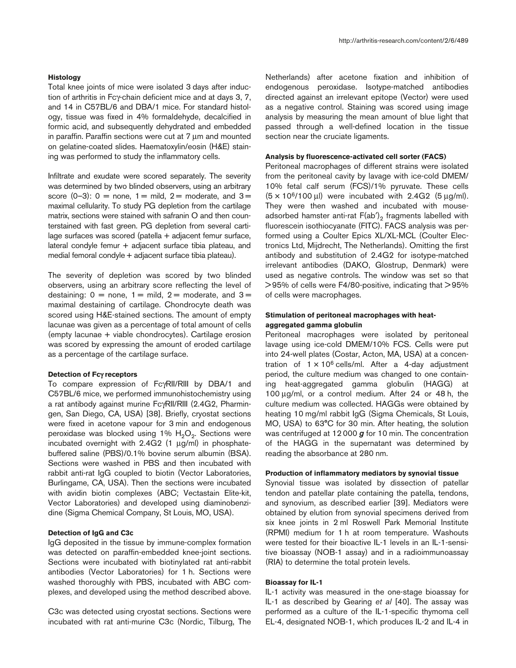#### **Histology**

Total knee joints of mice were isolated 3 days after induction of arthritis in Fcγ-chain deficient mice and at days 3, 7, and 14 in C57BL/6 and DBA/1 mice. For standard histology, tissue was fixed in 4% formaldehyde, decalcified in formic acid, and subsequently dehydrated and embedded in paraffin. Paraffin sections were cut at 7 µm and mounted on gelatine-coated slides. Haematoxylin/eosin (H&E) staining was performed to study the inflammatory cells.

Infiltrate and exudate were scored separately. The severity was determined by two blinded observers, using an arbitrary score  $(0-3)$ :  $0 =$  none,  $1 =$  mild,  $2 =$  moderate, and  $3 =$ maximal cellularity. To study PG depletion from the cartilage matrix, sections were stained with safranin O and then counterstained with fast green. PG depletion from several cartilage surfaces was scored (patella + adjacent femur surface, lateral condyle femur + adjacent surface tibia plateau, and medial femoral condyle + adjacent surface tibia plateau).

The severity of depletion was scored by two blinded observers, using an arbitrary score reflecting the level of destaining:  $0 =$  none,  $1 =$  mild,  $2 =$  moderate, and  $3 =$ maximal destaining of cartilage. Chondrocyte death was scored using H&E-stained sections. The amount of empty lacunae was given as a percentage of total amount of cells (empty lacunae + viable chondrocytes). Cartilage erosion was scored by expressing the amount of eroded cartilage as a percentage of the cartilage surface.

#### **Detection of Fc**γ **receptors**

To compare expression of FcγRII/RIII by DBA/1 and C57BL/6 mice, we performed immunohistochemistry using a rat antibody against murine FcγRII/RIII (2.4G2, Pharmingen, San Diego, CA, USA) [38]. Briefly, cryostat sections were fixed in acetone vapour for 3 min and endogenous peroxidase was blocked using 1%  $H_2O_2$ . Sections were incubated overnight with 2.4G2 (1 µg/ml) in phosphatebuffered saline (PBS)/0.1% bovine serum albumin (BSA). Sections were washed in PBS and then incubated with rabbit anti-rat IgG coupled to biotin (Vector Laboratories, Burlingame, CA, USA). Then the sections were incubated with avidin biotin complexes (ABC; Vectastain Elite-kit, Vector Laboratories) and developed using diaminobenzidine (Sigma Chemical Company, St Louis, MO, USA).

#### **Detection of IgG and C3c**

IgG deposited in the tissue by immune-complex formation was detected on paraffin-embedded knee-joint sections. Sections were incubated with biotinylated rat anti-rabbit antibodies (Vector Laboratories) for 1 h. Sections were washed thoroughly with PBS, incubated with ABC complexes, and developed using the method described above.

C3c was detected using cryostat sections. Sections were incubated with rat anti-murine C3c (Nordic, Tilburg, The Netherlands) after acetone fixation and inhibition of endogenous peroxidase. Isotype-matched antibodies directed against an irrelevant epitope (Vector) were used as a negative control. Staining was scored using image analysis by measuring the mean amount of blue light that passed through a well-defined location in the tissue section near the cruciate ligaments.

#### **Analysis by fluorescence-activated cell sorter (FACS)**

Peritoneal macrophages of different strains were isolated from the peritoneal cavity by lavage with ice-cold DMEM/ 10% fetal calf serum (FCS)/1% pyruvate. These cells  $(5 \times 10^6/100 \,\mu\text{)}$  were incubated with 2.4G2 (5  $\mu$ g/ml). They were then washed and incubated with mouseadsorbed hamster anti-rat  $F(ab')_2$  fragments labelled with fluorescein isothiocyanate (FITC). FACS analysis was performed using a Coulter Epics XL/XL-MCL (Coulter Electronics Ltd, Mijdrecht, The Netherlands). Omitting the first antibody and substitution of 2.4G2 for isotype-matched irrelevant antibodies (DAKO, Glostrup, Denmark) were used as negative controls. The window was set so that > 95% of cells were F4/80-positive, indicating that > 95% of cells were macrophages.

## **Stimulation of peritoneal macrophages with heataggregated gamma globulin**

Peritoneal macrophages were isolated by peritoneal lavage using ice-cold DMEM/10% FCS. Cells were put into 24-well plates (Costar, Acton, MA, USA) at a concentration of  $1 \times 10^6$  cells/ml. After a 4-day adjustment period, the culture medium was changed to one containing heat-aggregated gamma globulin (HAGG) at 100 µg/ml, or a control medium. After 24 or 48 h, the culture medium was collected. HAGGs were obtained by heating 10 mg/ml rabbit IgG (Sigma Chemicals, St Louis, MO, USA) to 63°C for 30 min. After heating, the solution was centrifuged at 12 000 *g* for 10 min. The concentration of the HAGG in the supernatant was determined by reading the absorbance at 280 nm.

#### **Production of inflammatory mediators by synovial tissue**

Synovial tissue was isolated by dissection of patellar tendon and patellar plate containing the patella, tendons, and synovium, as described earlier [39]. Mediators were obtained by elution from synovial specimens derived from six knee joints in 2 ml Roswell Park Memorial Institute (RPMI) medium for 1 h at room temperature. Washouts were tested for their bioactive IL-1 levels in an IL-1-sensitive bioassay (NOB-1 assay) and in a radioimmunoassay (RIA) to determine the total protein levels.

#### **Bioassay for IL-1**

IL-1 activity was measured in the one-stage bioassay for IL-1 as described by Gearing *et al* [40]. The assay was performed as a culture of the IL-1-specific thymoma cell EL-4, designated NOB-1, which produces IL-2 and IL-4 in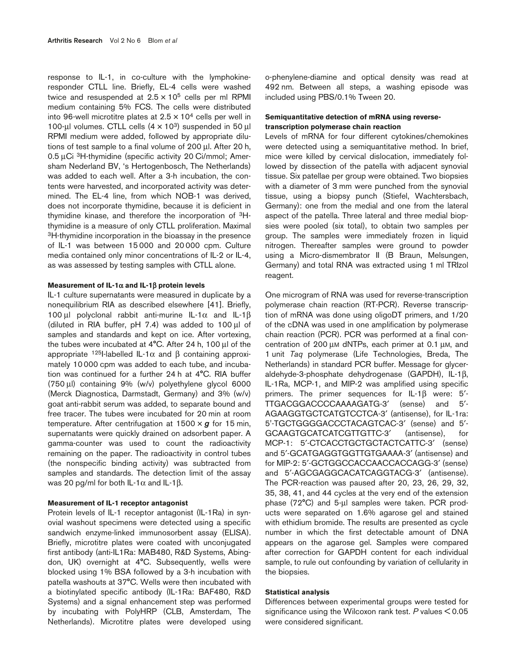response to IL-1, in co-culture with the lymphokineresponder CTLL line. Briefly, EL-4 cells were washed twice and resuspended at  $2.5 \times 10^5$  cells per ml RPMI medium containing 5% FCS. The cells were distributed into 96-well microtitre plates at  $2.5 \times 10^4$  cells per well in 100-µl volumes. CTLL cells  $(4 \times 10^3)$  suspended in 50 µl RPMI medium were added, followed by appropriate dilutions of test sample to a final volume of 200 µl. After 20 h, 0.5 µCi 3H-thymidine (specific activity 20 Ci/mmol; Amersham Nederland BV, 's Hertogenbosch, The Netherlands) was added to each well. After a 3-h incubation, the contents were harvested, and incorporated activity was determined. The EL-4 line, from which NOB-1 was derived, does not incorporate thymidine, because it is deficient in thymidine kinase, and therefore the incorporation of 3Hthymidine is a measure of only CTLL proliferation. Maximal <sup>3</sup>H-thymidine incorporation in the bioassay in the presence of IL-1 was between 15 000 and 20 000 cpm. Culture media contained only minor concentrations of IL-2 or IL-4, as was assessed by testing samples with CTLL alone.

#### **Measurement of IL-1**α **and IL-1**β **protein levels**

IL-1 culture supernatants were measured in duplicate by a nonequilibrium RIA as described elsewhere [41]. Briefly, 100 µl polyclonal rabbit anti-murine IL-1α and IL-1β (diluted in RIA buffer, pH 7.4) was added to 100 µl of samples and standards and kept on ice. After vortexing, the tubes were incubated at 4°C. After 24 h, 100 µl of the appropriate <sup>125</sup>I-labelled IL-1α and β containing approximately 10 000 cpm was added to each tube, and incubation was continued for a further 24 h at 4°C. RIA buffer (750 µl) containing 9% (w/v) polyethylene glycol 6000 (Merck Diagnostica, Darmstadt, Germany) and 3% (w/v) goat anti-rabbit serum was added, to separate bound and free tracer. The tubes were incubated for 20 min at room temperature. After centrifugation at  $1500 \times g$  for  $15$  min, supernatants were quickly drained on adsorbent paper. A gamma-counter was used to count the radioactivity remaining on the paper. The radioactivity in control tubes (the nonspecific binding activity) was subtracted from samples and standards. The detection limit of the assay was 20 pg/ml for both IL-1α and IL-1β.

#### **Measurement of IL-1 receptor antagonist**

Protein levels of IL-1 receptor antagonist (IL-1Ra) in synovial washout specimens were detected using a specific sandwich enzyme-linked immunosorbent assay (ELISA). Briefly, microtitre plates were coated with unconjugated first antibody (anti-IL1Ra: MAB480, R&D Systems, Abingdon, UK) overnight at 4°C. Subsequently, wells were blocked using 1% BSA followed by a 3-h incubation with patella washouts at 37°C. Wells were then incubated with a biotinylated specific antibody (IL-1Ra: BAF480, R&D Systems) and a signal enhancement step was performed by incubating with PolyHRP (CLB, Amsterdam, The Netherlands). Microtitre plates were developed using

o-phenylene-diamine and optical density was read at 492 nm. Between all steps, a washing episode was included using PBS/0.1% Tween 20.

## **Semiquantitative detection of mRNA using reversetranscription polymerase chain reaction**

Levels of mRNA for four different cytokines/chemokines were detected using a semiquantitative method. In brief, mice were killed by cervical dislocation, immediately followed by dissection of the patella with adjacent synovial tissue. Six patellae per group were obtained. Two biopsies with a diameter of 3 mm were punched from the synovial tissue, using a biopsy punch (Stiefel, Wachtersbach, Germany): one from the medial and one from the lateral aspect of the patella. Three lateral and three medial biopsies were pooled (six total), to obtain two samples per group. The samples were immediately frozen in liquid nitrogen. Thereafter samples were ground to powder using a Micro-dismembrator II (B Braun, Melsungen, Germany) and total RNA was extracted using 1 ml TRIzol reagent.

One microgram of RNA was used for reverse-transcription polymerase chain reaction (RT-PCR). Reverse transcription of mRNA was done using oligoDT primers, and 1/20 of the cDNA was used in one amplification by polymerase chain reaction (PCR). PCR was performed at a final concentration of 200 µM dNTPs, each primer at 0.1 µM, and 1 unit *Taq* polymerase (Life Technologies, Breda, The Netherlands) in standard PCR buffer. Message for glyceraldehyde-3-phosphate dehydrogenase (GAPDH), IL-1β, IL-1Ra, MCP-1, and MIP-2 was amplified using specific primers. The primer sequences for IL-1β were: 5′- TTGACGGACCCCAAAAGATG-3′ (sense) and 5′- AGAAGGTGCTCATGTCCTCA-3′ (antisense), for IL-1ra: 5'-TGCTGGGGACCCTACAGTCAC-3′ (sense) and 5′- GCAAGTGCATCATCGTTGTTC-3′ (antisense), for MCP-1: 5'-CTCACCTGCTGCTACTCATTC-3' (sense) and 5′-GCATGAGGTGGTTGTGAAAA-3′ (antisense) and for MIP-2: 5′-GCTGGCCACCAACCACCAGG-3′ (sense) and 5′-AGCGAGGCACATCAGGTACG-3′ (antisense). The PCR-reaction was paused after 20, 23, 26, 29, 32, 35, 38, 41, and 44 cycles at the very end of the extension phase (72°C) and 5-µl samples were taken. PCR products were separated on 1.6% agarose gel and stained with ethidium bromide. The results are presented as cycle number in which the first detectable amount of DNA appears on the agarose gel. Samples were compared after correction for GAPDH content for each individual sample, to rule out confounding by variation of cellularity in the biopsies.

#### **Statistical analysis**

Differences between experimental groups were tested for significance using the Wilcoxon rank test. *P* values < 0.05 were considered significant.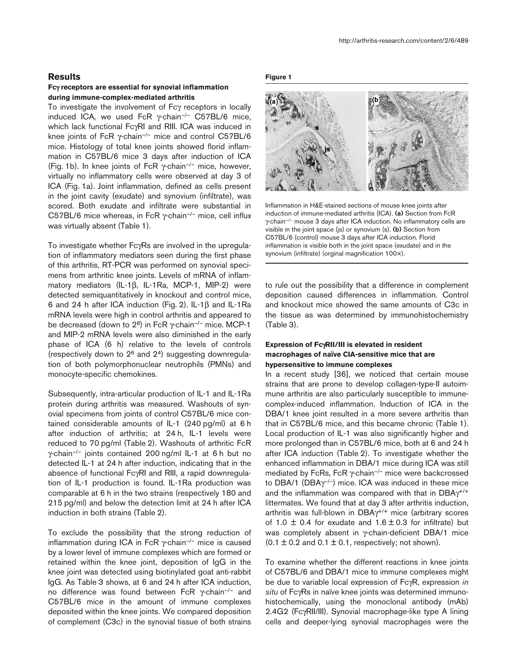#### **Results**

### **Fc**γ **receptors are essential for synovial inflammation during immune-complex-mediated arthritis**

To investigate the involvement of Fcγ receptors in locally induced ICA, we used FcR  $\gamma$ -chain<sup>-/-</sup> C57BL/6 mice, which lack functional FcγRI and RIII. ICA was induced in knee joints of FcR γ-chain–/– mice and control C57BL/6 mice. Histology of total knee joints showed florid inflammation in C57BL/6 mice 3 days after induction of ICA (Fig. 1b). In knee joints of FcR  $\gamma$ -chain<sup>-/-</sup> mice, however, virtually no inflammatory cells were observed at day 3 of ICA (Fig. 1a). Joint inflammation, defined as cells present in the joint cavity (exudate) and synovium (infiltrate), was scored. Both exudate and infiltrate were substantial in C57BL/6 mice whereas, in FcR γ-chain–/– mice, cell influx was virtually absent (Table 1).

To investigate whether FcγRs are involved in the upregulation of inflammatory mediators seen during the first phase of this arthritis, RT-PCR was performed on synovial specimens from arthritic knee joints. Levels of mRNA of inflammatory mediators (IL-1β, IL-1Ra, MCP-1, MIP-2) were detected semiquantitatively in knockout and control mice, 6 and 24 h after ICA induction (Fig. 2). IL-1β and IL-1Ra mRNA levels were high in control arthritis and appeared to be decreased (down to  $2^8$ ) in FcR  $\gamma$ -chain<sup>-/-</sup> mice. MCP-1 and MIP-2 mRNA levels were also diminished in the early phase of ICA (6 h) relative to the levels of controls (respectively down to  $2^6$  and  $2^4$ ) suggesting downregulation of both polymorphonuclear neutrophils (PMNs) and monocyte-specific chemokines.

Subsequently, intra-articular production of IL-1 and IL-1Ra protein during arthritis was measured. Washouts of synovial specimens from joints of control C57BL/6 mice contained considerable amounts of IL-1 (240 pg/ml) at 6 h after induction of arthritis; at 24 h, IL-1 levels were reduced to 70 pg/ml (Table 2). Washouts of arthritic FcR γ-chain–/– joints contained 200 ng/ml IL-1 at 6 h but no detected IL-1 at 24 h after induction, indicating that in the absence of functional FcγRI and RIII, a rapid downregulation of IL-1 production is found. IL-1Ra production was comparable at 6 h in the two strains (respectively 180 and 215 pg/ml) and below the detection limit at 24 h after ICA induction in both strains (Table 2).

To exclude the possibility that the strong reduction of inflammation during ICA in FcR γ-chain<sup>-/-</sup> mice is caused by a lower level of immune complexes which are formed or retained within the knee joint, deposition of IgG in the knee joint was detected using biotinylated goat anti-rabbit IgG. As Table 3 shows, at 6 and 24 h after ICA induction, no difference was found between FcR γ-chain–/– and C57BL/6 mice in the amount of immune complexes deposited within the knee joints. We compared deposition of complement (C3c) in the synovial tissue of both strains

**Figure 1**



Inflammation in H&E-stained sections of mouse knee joints after induction of immune-mediated arthritis (ICA). **(a)** Section from FcR γ-chain–/– mouse 3 days after ICA induction. No inflammatory cells are visible in the joint space (js) or synovium (s). **(b)** Section from C57BL/6 (control) mouse 3 days after ICA induction. Florid inflammation is visible both in the joint space (exudate) and in the synovium (infiltrate) (orginal magnification 100×).

to rule out the possibility that a difference in complement deposition caused differences in inflammation. Control and knockout mice showed the same amounts of C3c in the tissue as was determined by immunohistochemistry (Table 3).

## **Expression of Fc**γ**RII/III is elevated in resident macrophages of naïve CIA-sensitive mice that are hypersensitive to immune complexes**

In a recent study [36], we noticed that certain mouse strains that are prone to develop collagen-type-II autoimmune arthritis are also particularly susceptible to immunecomplex-induced inflammation. Induction of ICA in the DBA/1 knee joint resulted in a more severe arthritis than that in C57BL/6 mice, and this became chronic (Table 1). Local production of IL-1 was also significantly higher and more prolonged than in C57BL/6 mice, both at 6 and 24 h after ICA induction (Table 2). To investigate whether the enhanced inflammation in DBA/1 mice during ICA was still mediated by FcRs, FcR γ-chain<sup>-/-</sup> mice were backcrossed to DBA/1 (DBA $\gamma$ <sup>-/-</sup>) mice. ICA was induced in these mice and the inflammation was compared with that in DBAγ+/+ littermates. We found that at day 3 after arthritis induction, arthritis was full-blown in DBAγ+/+ mice (arbitrary scores of 1.0  $\pm$  0.4 for exudate and 1.6  $\pm$  0.3 for infiltrate) but was completely absent in γ-chain-deficient DBA/1 mice  $(0.1 \pm 0.2$  and  $0.1 \pm 0.1$ , respectively; not shown).

To examine whether the different reactions in knee joints of C57BL/6 and DBA/1 mice to immune complexes might be due to variable local expression of FcγR, expression *in situ* of FcγRs in naïve knee joints was determined immunohistochemically, using the monoclonal antibody (mAb) 2.4G2 (FcγRII/III). Synovial macrophage-like type A lining cells and deeper-lying synovial macrophages were the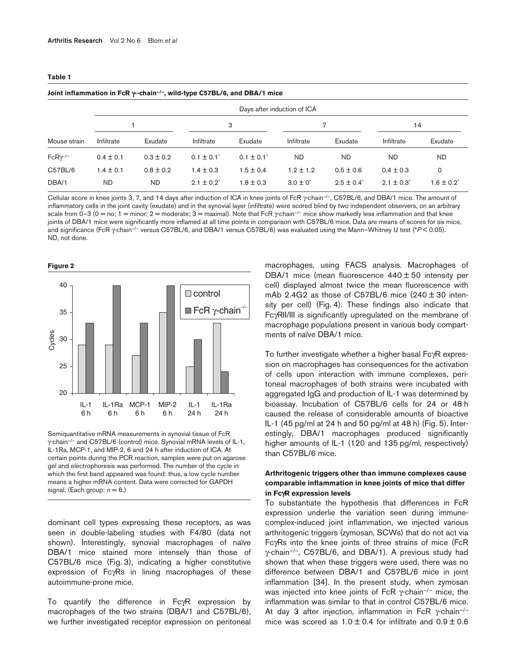| Days after induction of ICA |               |                 |                 |               |                                                                                              |                |                 |
|-----------------------------|---------------|-----------------|-----------------|---------------|----------------------------------------------------------------------------------------------|----------------|-----------------|
|                             |               | 3               |                 | 7             |                                                                                              | 14             |                 |
| Infiltrate                  | Exudate       | Infiltrate      | Exudate         | Infiltrate    | Exudate                                                                                      | Infiltrate     | Exudate         |
| $0.4 \pm 0.1$               | $0.3 \pm 0.2$ | $0.1 \pm 0.1^*$ | $0.1 \pm 0.1^*$ | <b>ND</b>     | ND                                                                                           | ND             | <b>ND</b>       |
| $1.4 \pm 0.1$               | $0.8 \pm 0.2$ | $1.4 \pm 0.3$   | $1.5 \pm 0.4$   | $1.2 \pm 1.2$ | $0.5 \pm 0.6$                                                                                | $0.4 \pm 0.3$  | 0               |
| <b>ND</b>                   | <b>ND</b>     | $2.1 \pm 0.2^*$ | $1.8 \pm 0.3$   | $3.0 \pm 0^*$ | $2.5 \pm 0.4^*$                                                                              | $2.1 \pm 0.3'$ | $1.6 \pm 0.2^*$ |
|                             |               |                 |                 |               | Joint inflammation in FcR $\gamma$ -chain <sup>-/-</sup> , wild-type C57BL/6, and DBA/1 mice |                |                 |

Cellular score in knee joints 3, 7, and 14 days after induction of ICA in knee joints of FcR γ-chain–/–, C57BL/6, and DBA/1 mice. The amount of inflammatory cells in the joint cavity (exudate) and in the synovial layer (infiltrate) were scored blind by two independent observers, on an arbitrary scale from 0–3 (0 = no; 1 = minor; 2 = moderate; 3 = maximal). Note that FcR  $\gamma$ -chain<sup>-/-</sup> mice show markedly less inflammation and that knee joints of DBA/1 mice were significantly more inflamed at all time points in comparison with C57BL/6 mice. Data are means of scores for six mice, and significance (FcR γ-chain–/– versus C57BL/6, and DBA/1 versus C57BL/6) was evaluated using the Mann–Whitney U test (\**P* < 0.05). ND, not done.

**Figure 2**



Semiquantitative mRNA measurements in synovial tissue of FcR γ-chain–/– and C57BL/6 (control) mice. Synovial mRNA levels of IL-1, IL-1Ra, MCP-1, and MIP-2, 6 and 24 h after induction of ICA. At certain points during the PCR reaction, samples were put on agarose gel and electrophoresis was performed. The number of the cycle in which the first band appeared was found: thus, a low cycle number means a higher mRNA content. Data were corrected for GAPDH signal. (Each group:  $n = 6$ .)

dominant cell types expressing these receptors, as was seen in double-labeling studies with F4/80 (data not shown). Interestingly, synovial macrophages of naïve DBA/1 mice stained more intensely than those of C57BL/6 mice (Fig. 3), indicating a higher constitutive expression of FcγRs in lining macrophages of these autoimmune-prone mice.

To quantify the difference in FcγR expression by macrophages of the two strains (DBA/1 and C57BL/6), we further investigated receptor expression on peritoneal

macrophages, using FACS analysis. Macrophages of DBA/1 mice (mean fluorescence  $440 \pm 50$  intensity per cell) displayed almost twice the mean fluorescence with mAb 2.4G2 as those of C57BL/6 mice  $(240 \pm 30)$  intensity per cell) (Fig. 4). These findings also indicate that FcγRII/III is significantly upregulated on the membrane of macrophage populations present in various body compartments of naïve DBA/1 mice.

To further investigate whether a higher basal FcγR expression on macrophages has consequences for the activation of cells upon interaction with immune complexes, peritoneal macrophages of both strains were incubated with aggregated IgG and production of IL-1 was determined by bioassay. Incubation of C57BL/6 cells for 24 or 48 h caused the release of considerable amounts of bioactive IL-1 (45 pg/ml at 24 h and 50 pg/ml at 48 h) (Fig. 5). Interestingly, DBA/1 macrophages produced significantly higher amounts of IL-1 (120 and 135 pg/ml, respectively) than C57BL/6 mice.

## **Arthritogenic triggers other than immune complexes cause comparable inflammation in knee joints of mice that differ in Fc**γ**R expression levels**

To substantiate the hypothesis that differences in FcR expression underlie the variation seen during immunecomplex-induced joint inflammation, we injected various arthritogenic triggers (zymosan, SCWs) that do not act via FcγRs into the knee joints of three strains of mice (FcR  $\gamma$ -chain<sup>-/-</sup>, C57BL/6, and DBA/1). A previous study had shown that when these triggers were used, there was no difference between DBA/1 and C57BL/6 mice in joint inflammation [34]. In the present study, when zymosan was injected into knee joints of FcR γ-chain–/– mice, the inflammation was similar to that in control C57BL/6 mice. At day 3 after injection, inflammation in FcR  $\gamma$ -chain<sup>-/-</sup> mice was scored as  $1.0 \pm 0.4$  for infiltrate and  $0.9 \pm 0.6$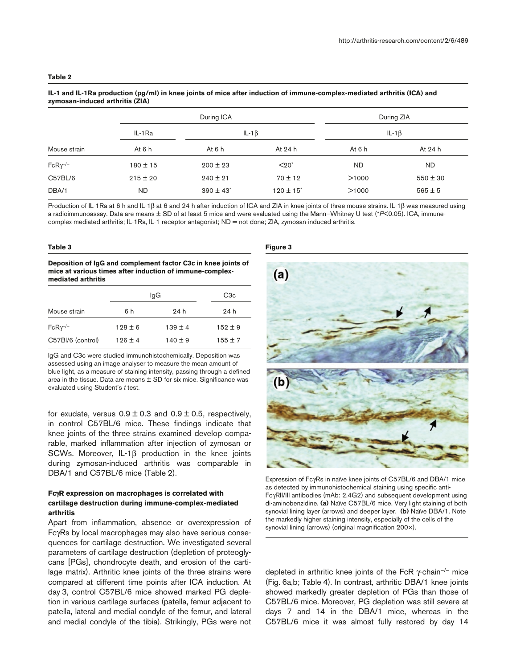| $\mathsf{z}$ yiliosali-iliuuceu arullius ( $\mathsf{z}$ ia) |              |                           |                           |           |              |  |
|-------------------------------------------------------------|--------------|---------------------------|---------------------------|-----------|--------------|--|
|                                                             |              | During ICA                | During ZIA                |           |              |  |
|                                                             | IL-1Ra       |                           | IL-1 $\beta$              |           | IL-1 $\beta$ |  |
| Mouse strain                                                | At $6h$      | At $6h$                   | At 24 h                   | At 6 h    | At 24 h      |  |
| $FcR\gamma^{-/-}$                                           | $180 \pm 15$ | $200 \pm 23$              | $<$ 20 $<$                | <b>ND</b> | <b>ND</b>    |  |
| C57BL/6                                                     | $215 \pm 20$ | $240 \pm 21$              | $70 \pm 12$               | >1000     | $550 \pm 30$ |  |
| DBA/1                                                       | <b>ND</b>    | $390 \pm 43$ <sup>*</sup> | $120 \pm 15$ <sup>*</sup> | >1000     | $565 \pm 5$  |  |

#### **IL-1 and IL-1Ra production (pg/ml) in knee joints of mice after induction of immune-complex-mediated arthritis (ICA) and zymosan-induced arthritis (ZIA)**

Production of IL-1Ra at 6 h and IL-1β at 6 and 24 h after induction of ICA and ZIA in knee joints of three mouse strains. IL-1β was measured using a radioimmunoassay. Data are means ± SD of at least 5 mice and were evaluated using the Mann–Whitney U test (\**P*<0.05). ICA, immunecomplex-mediated arthritis; IL-1Ra, IL-1 receptor antagonist; ND = not done; ZIA, zymosan-induced arthritis.

#### **Table 3**

**Deposition of IgG and complement factor C3c in knee joints of mice at various times after induction of immune-complexmediated arthritis**

|                   | lgG         | C <sub>3</sub> c |             |
|-------------------|-------------|------------------|-------------|
| Mouse strain      | 6h          | 24 h             | 24 h        |
| $FcR\gamma^{-/-}$ | $128 \pm 6$ | $139 + 4$        | $152 \pm 9$ |
| C57BI/6 (control) | $126 \pm 4$ | $140 \pm 9$      | $155 \pm 7$ |

IgG and C3c were studied immunohistochemically. Deposition was assessed using an image analyser to measure the mean amount of blue light, as a measure of staining intensity, passing through a defined area in the tissue. Data are means  $\pm$  SD for six mice. Significance was evaluated using Student's *t* test.

for exudate, versus  $0.9 \pm 0.3$  and  $0.9 \pm 0.5$ , respectively, in control C57BL/6 mice. These findings indicate that knee joints of the three strains examined develop comparable, marked inflammation after injection of zymosan or SCWs. Moreover, IL-1β production in the knee joints during zymosan-induced arthritis was comparable in DBA/1 and C57BL/6 mice (Table 2).

## **Fc**γ**R expression on macrophages is correlated with cartilage destruction during immune-complex-mediated arthritis**

Apart from inflammation, absence or overexpression of FcγRs by local macrophages may also have serious consequences for cartilage destruction. We investigated several parameters of cartilage destruction (depletion of proteoglycans [PGs], chondrocyte death, and erosion of the cartilage matrix). Arthritic knee joints of the three strains were compared at different time points after ICA induction. At day 3, control C57BL/6 mice showed marked PG depletion in various cartilage surfaces (patella, femur adjacent to patella, lateral and medial condyle of the femur, and lateral and medial condyle of the tibia). Strikingly, PGs were not

#### **Figure 3**



Expression of FcγRs in naïve knee joints of C57BL/6 and DBA/1 mice as detected by immunohistochemical staining using specific anti-FcγRII/III antibodies (mAb: 2.4G2) and subsequent development using di-aminobenzidine. **(a)** Naïve C57BL/6 mice. Very light staining of both synovial lining layer (arrows) and deeper layer. **(b)** Naïve DBA/1. Note the markedly higher staining intensity, especially of the cells of the synovial lining (arrows) (original magnification 200×).

depleted in arthritic knee joints of the FcR  $\gamma$ -chain<sup>-/-</sup> mice (Fig. 6a,b; Table 4). In contrast, arthritic DBA/1 knee joints showed markedly greater depletion of PGs than those of C57BL/6 mice. Moreover, PG depletion was still severe at days 7 and 14 in the DBA/1 mice, whereas in the C57BL/6 mice it was almost fully restored by day 14

#### **Table 2**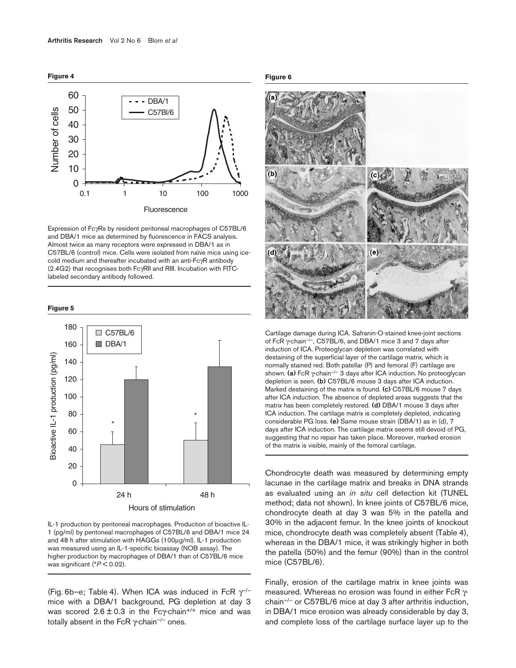

Expression of FcγRs by resident peritoneal macrophages of C57BL/6 and DBA/1 mice as determined by fluorescence in FACS analysis. Almost twice as many receptors were expressed in DBA/1 as in C57BL/6 (control) mice. Cells were isolated from naïve mice using icecold medium and thereafter incubated with an anti-FcγR antibody (2.4G2) that recognises both FcγRII and RIII. Incubation with FITClabeled secondary antibody followed.

#### **Figure 5**





(Fig. 6b–e; Table 4). When ICA was induced in FcR  $\gamma$ <sup>--</sup> mice with a DBA/1 background, PG depletion at day 3 was scored  $2.6 \pm 0.3$  in the Fcy-chain<sup>+/+</sup> mice and was totally absent in the FcR  $γ$ -chain<sup>-/-</sup> ones.

**Figure 6**



Cartilage damage during ICA. Safranin-O-stained knee-joint sections of FcR γ-chain–/–, C57BL/6, and DBA/1 mice 3 and 7 days after induction of ICA. Proteoglycan depletion was correlated with destaining of the superficial layer of the cartilage matrix, which is normally stained red. Both patellar (P) and femoral (F) cartilage are shown. **(a)** FcR γ-chain–/– 3 days after ICA induction. No proteoglycan depletion is seen. **(b)** C57BL/6 mouse 3 days after ICA induction. Marked destaining of the matrix is found. **(c)** C57BL/6 mouse 7 days after ICA induction. The absence of depleted areas suggests that the matrix has been completely restored. **(d)** DBA/1 mouse 3 days after ICA induction. The cartilage matrix is completely depleted, indicating considerable PG loss. **(e)** Same mouse strain (DBA/1) as in (d), 7 days after ICA induction. The cartilage matrix seems still devoid of PG, suggesting that no repair has taken place. Moreover, marked erosion of the matrix is visible, mainly of the femoral cartilage.

Chondrocyte death was measured by determining empty lacunae in the cartilage matrix and breaks in DNA strands as evaluated using an *in situ* cell detection kit (TUNEL method; data not shown). In knee joints of C57BL/6 mice, chondrocyte death at day 3 was 5% in the patella and 30% in the adjacent femur. In the knee joints of knockout mice, chondrocyte death was completely absent (Table 4), whereas in the DBA/1 mice, it was strikingly higher in both the patella (50%) and the femur (90%) than in the control mice (C57BL/6).

Finally, erosion of the cartilage matrix in knee joints was measured. Whereas no erosion was found in either FcR γchain–/– or C57BL/6 mice at day 3 after arthritis induction, in DBA/1 mice erosion was already considerable by day 3, and complete loss of the cartilage surface layer up to the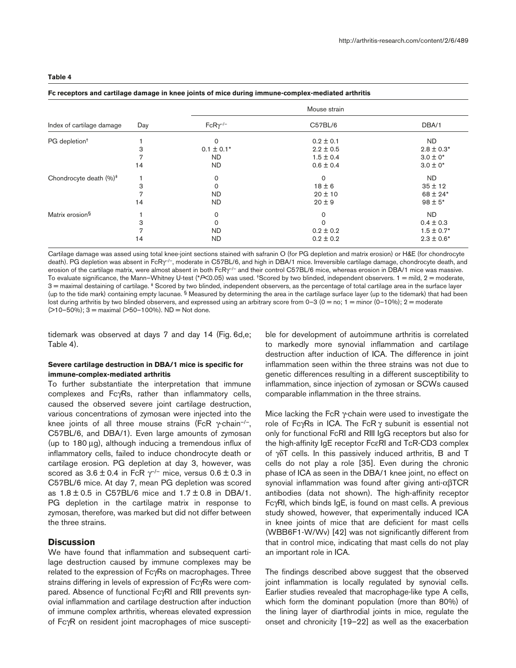|--|--|--|--|

|                                    |     | Mouse strain      |               |                 |  |  |
|------------------------------------|-----|-------------------|---------------|-----------------|--|--|
| Index of cartilage damage          | Day | $FcR\gamma^{-/-}$ | C57BL/6       | DBA/1           |  |  |
| PG depletion <sup>+</sup>          |     | 0                 | $0.2 \pm 0.1$ | ND.             |  |  |
|                                    | 3   | $0.1 \pm 0.1*$    | $2.2 \pm 0.5$ | $2.8 \pm 0.3*$  |  |  |
|                                    | 7   | <b>ND</b>         | $1.5 \pm 0.4$ | $3.0 \pm 0^*$   |  |  |
|                                    | 14  | <b>ND</b>         | $0.6 \pm 0.4$ | $3.0 \pm 0^*$   |  |  |
| Chondrocyte death (%) <sup>+</sup> |     | 0                 | $\Omega$      | ND.             |  |  |
|                                    | 3   | 0                 | $18 \pm 6$    | $35 \pm 12$     |  |  |
|                                    | 7   | <b>ND</b>         | $20 \pm 10$   | $68 \pm 24$ *   |  |  |
|                                    | 14  | <b>ND</b>         | $20 \pm 9$    | $98 \pm 5*$     |  |  |
| Matrix erosion <sup>§</sup>        |     | 0                 | 0             | <b>ND</b>       |  |  |
|                                    | 3   | 0                 | $\Omega$      | $0.4 \pm 0.3$   |  |  |
|                                    | 7   | <b>ND</b>         | $0.2 \pm 0.2$ | $1.5 \pm 0.7$ * |  |  |
|                                    | 14  | <b>ND</b>         | $0.2 \pm 0.2$ | $2.3 \pm 0.6*$  |  |  |

#### **Fc receptors and cartilage damage in knee joints of mice during immune-complex-mediated arthritis**

Cartilage damage was assed using total knee-joint sections stained with safranin O (for PG depletion and matrix erosion) or H&E (for chondrocyte death). PG depletion was absent in FcRγ<sup>-/-</sup>, moderate in C57BL/6, and high in DBA/1 mice. Irreversible cartilage damage, chondrocyte death, and erosion of the cartilage matrix, were almost absent in both FcRγ<sup>-/-</sup> and their control C57BL/6 mice, whereas erosion in DBA/1 mice was massive. To evaluate significance, the Mann–Whitney U-test (\**P*<0.05) was used. <sup>†</sup>Scored by two blinded, independent observers. 1 = mild, 2 = moderate, 3 = maximal destaining of cartilage. ‡ Scored by two blinded, independent observers, as the percentage of total cartilage area in the surface layer (up to the tide mark) containing empty lacunae.  $\frac{1}{5}$  Measured by determining the area in the cartilage surface layer (up to the tidemark) that had been lost during arthritis by two blinded observers, and expressed using an arbitrary score from  $0-3$  ( $0 =$  no;  $1 =$  minor ( $0-10\%$ );  $2 =$  moderate  $(210-50\%)$ ; 3 = maximal  $(250-100\%)$ . ND = Not done.

tidemark was observed at days 7 and day 14 (Fig. 6d,e; Table 4).

## **Severe cartilage destruction in DBA/1 mice is specific for immune-complex-mediated arthritis**

To further substantiate the interpretation that immune complexes and FcγRs, rather than inflammatory cells, caused the observed severe joint cartilage destruction, various concentrations of zymosan were injected into the knee joints of all three mouse strains (FcR γ-chain–/–, C57BL/6, and DBA/1). Even large amounts of zymosan (up to 180 µg), although inducing a tremendous influx of inflammatory cells, failed to induce chondrocyte death or cartilage erosion. PG depletion at day 3, however, was scored as  $3.6 \pm 0.4$  in FcR  $\gamma$ <sup>--</sup> mice, versus  $0.6 \pm 0.3$  in C57BL/6 mice. At day 7, mean PG depletion was scored as  $1.8 \pm 0.5$  in C57BL/6 mice and  $1.7 \pm 0.8$  in DBA/1. PG depletion in the cartilage matrix in response to zymosan, therefore, was marked but did not differ between the three strains.

## **Discussion**

We have found that inflammation and subsequent cartilage destruction caused by immune complexes may be related to the expression of FcγRs on macrophages. Three strains differing in levels of expression of FcγRs were compared. Absence of functional FcγRI and RIII prevents synovial inflammation and cartilage destruction after induction of immune complex arthritis, whereas elevated expression of FcγR on resident joint macrophages of mice susceptible for development of autoimmune arthritis is correlated to markedly more synovial inflammation and cartilage destruction after induction of ICA. The difference in joint inflammation seen within the three strains was not due to genetic differences resulting in a different susceptibility to inflammation, since injection of zymosan or SCWs caused comparable inflammation in the three strains.

Mice lacking the FcR γ-chain were used to investigate the role of FcγRs in ICA. The FcR  $γ$  subunit is essential not only for functional FcRI and RIII IgG receptors but also for the high-affinity IgE receptor FcεRI and TcR-CD3 complex of γδT cells. In this passively induced arthritis, B and T cells do not play a role [35]. Even during the chronic phase of ICA as seen in the DBA/1 knee joint, no effect on synovial inflammation was found after giving anti-αβTCR antibodies (data not shown). The high-affinity receptor FcγRI, which binds IgE, is found on mast cells. A previous study showed, however, that experimentally induced ICA in knee joints of mice that are deficient for mast cells (WBB6F1-W/Wv) [42] was not significantly different from that in control mice, indicating that mast cells do not play an important role in ICA.

The findings described above suggest that the observed joint inflammation is locally regulated by synovial cells. Earlier studies revealed that macrophage-like type A cells, which form the dominant population (more than 80%) of the lining layer of diarthrodial joints in mice, regulate the onset and chronicity [19–22] as well as the exacerbation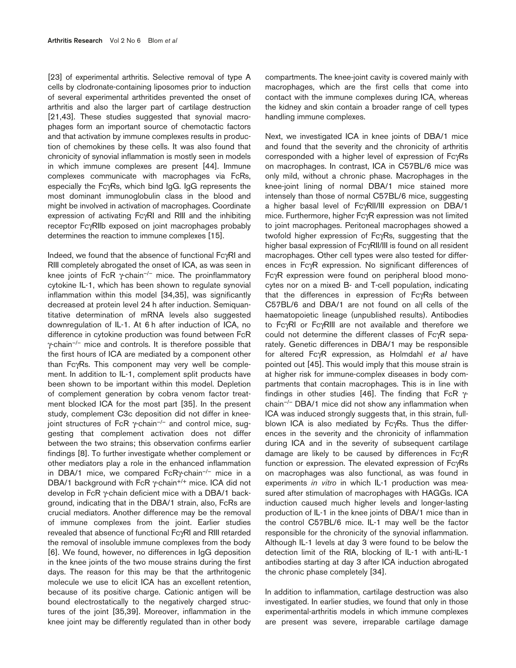[23] of experimental arthritis. Selective removal of type A cells by clodronate-containing liposomes prior to induction of several experimental arthritides prevented the onset of arthritis and also the larger part of cartilage destruction [21,43]. These studies suggested that synovial macrophages form an important source of chemotactic factors and that activation by immune complexes results in production of chemokines by these cells. It was also found that chronicity of synovial inflammation is mostly seen in models in which immune complexes are present [44]. Immune complexes communicate with macrophages via FcRs, especially the FcγRs, which bind IgG. IgG represents the most dominant immunoglobulin class in the blood and might be involved in activation of macrophages. Coordinate expression of activating FcγRI and RIII and the inhibiting receptor FcγRIIb exposed on joint macrophages probably determines the reaction to immune complexes [15].

Indeed, we found that the absence of functional FcγRI and RIII completely abrogated the onset of ICA, as was seen in knee joints of FcR  $\gamma$ -chain<sup>-/-</sup> mice. The proinflammatory cytokine IL-1, which has been shown to regulate synovial inflammation within this model [34,35], was significantly decreased at protein level 24 h after induction. Semiquantitative determination of mRNA levels also suggested downregulation of IL-1. At 6 h after induction of ICA, no difference in cytokine production was found between FcR γ-chain–/– mice and controls. It is therefore possible that the first hours of ICA are mediated by a component other than FcγRs. This component may very well be complement. In addition to IL-1, complement split products have been shown to be important within this model. Depletion of complement generation by cobra venom factor treatment blocked ICA for the most part [35]. In the present study, complement C3c deposition did not differ in kneejoint structures of FcR γ-chain–/– and control mice, suggesting that complement activation does not differ between the two strains; this observation confirms earlier findings [8]. To further investigate whether complement or other mediators play a role in the enhanced inflammation in DBA/1 mice, we compared FcRγ-chain<sup>-/-</sup> mice in a DBA/1 background with FcR γ-chain<sup>+/+</sup> mice. ICA did not develop in FcR γ-chain deficient mice with a DBA/1 background, indicating that in the DBA/1 strain, also, FcRs are crucial mediators. Another difference may be the removal of immune complexes from the joint. Earlier studies revealed that absence of functional FcγRI and RIII retarded the removal of insoluble immune complexes from the body [6]. We found, however, no differences in IgG deposition in the knee joints of the two mouse strains during the first days. The reason for this may be that the arthritogenic molecule we use to elicit ICA has an excellent retention, because of its positive charge. Cationic antigen will be bound electrostatically to the negatively charged structures of the joint [35,39]. Moreover, inflammation in the knee joint may be differently regulated than in other body

compartments. The knee-joint cavity is covered mainly with macrophages, which are the first cells that come into contact with the immune complexes during ICA, whereas the kidney and skin contain a broader range of cell types handling immune complexes.

Next, we investigated ICA in knee joints of DBA/1 mice and found that the severity and the chronicity of arthritis corresponded with a higher level of expression of FcγRs on macrophages. In contrast, ICA in C57BL/6 mice was only mild, without a chronic phase. Macrophages in the knee-joint lining of normal DBA/1 mice stained more intensely than those of normal C57BL/6 mice, suggesting a higher basal level of FcγRII/III expression on DBA/1 mice. Furthermore, higher FcγR expression was not limited to joint macrophages. Peritoneal macrophages showed a twofold higher expression of FcγRs, suggesting that the higher basal expression of FcγRII/III is found on all resident macrophages. Other cell types were also tested for differences in FcγR expression. No significant differences of FcγR expression were found on peripheral blood monocytes nor on a mixed B- and T-cell population, indicating that the differences in expression of FcγRs between C57BL/6 and DBA/1 are not found on all cells of the haematopoietic lineage (unpublished results). Antibodies to FcγRI or FcγRIII are not available and therefore we could not determine the different classes of FcγR separately. Genetic differences in DBA/1 may be responsible for altered FcγR expression, as Holmdahl *et aI* have pointed out [45]. This would imply that this mouse strain is at higher risk for immune-complex diseases in body compartments that contain macrophages. This is in line with findings in other studies [46]. The finding that FcR  $\gamma$ chain–/– DBA/1 mice did not show any inflammation when ICA was induced strongly suggests that, in this strain, fullblown ICA is also mediated by FcγRs. Thus the differences in the severity and the chronicity of inflammation during ICA and in the severity of subsequent cartilage damage are likely to be caused by differences in FcγR function or expression. The elevated expression of FcγRs on macrophages was also functional, as was found in experiments *in vitro* in which IL-1 production was measured after stimulation of macrophages with HAGGs. ICA induction caused much higher levels and longer-lasting production of IL-1 in the knee joints of DBA/1 mice than in the control C57BL/6 mice. IL-1 may well be the factor responsible for the chronicity of the synovial inflammation. Although IL-1 levels at day 3 were found to be below the detection limit of the RIA, blocking of IL-1 with anti-IL-1 antibodies starting at day 3 after ICA induction abrogated the chronic phase completely [34].

In addition to inflammation, cartilage destruction was also investigated. In earlier studies, we found that only in those experimental-arthritis models in which immune complexes are present was severe, irreparable cartilage damage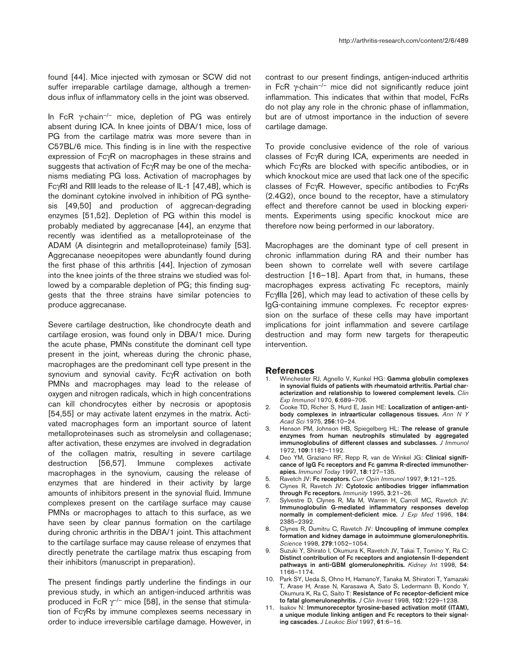In FcR  $\gamma$ -chain<sup>-/-</sup> mice, depletion of PG was entirely absent during ICA. In knee joints of DBA/1 mice, loss of PG from the cartilage matrix was more severe than in C57BL/6 mice. This finding is in line with the respective expression of FcγR on macrophages in these strains and suggests that activation of FcγR may be one of the mechanisms mediating PG loss. Activation of macrophages by FcγRI and RIII leads to the release of IL-1 [47,48], which is the dominant cytokine involved in inhibition of PG synthesis [49,50] and production of aggrecan-degrading enzymes [51,52]. Depletion of PG within this model is probably mediated by aggrecanase [44], an enzyme that recently was identified as a metalloproteinase of the ADAM (A disintegrin and metalloproteinase) family [53]. Aggrecanase neoepitopes were abundantly found during the first phase of this arthritis [44]. Injection of zymosan into the knee joints of the three strains we studied was followed by a comparable depletion of PG; this finding suggests that the three strains have similar potencies to produce aggrecanase.

Severe cartilage destruction, like chondrocyte death and cartilage erosion, was found only in DBA/1 mice. During the acute phase, PMNs constitute the dominant cell type present in the joint, whereas during the chronic phase, macrophages are the predominant cell type present in the synovium and synovial cavity. FcγR activation on both PMNs and macrophages may lead to the release of oxygen and nitrogen radicals, which in high concentrations can kill chondrocytes either by necrosis or apoptosis [54,55] or may activate latent enzymes in the matrix. Activated macrophages form an important source of latent metalloproteinases such as stromelysin and collagenase; after activation, these enzymes are involved in degradation of the collagen matrix, resulting in severe cartilage destruction [56,57]. Immune complexes activate macrophages in the synovium, causing the release of enzymes that are hindered in their activity by large amounts of inhibitors present in the synovial fluid. Immune complexes present on the cartilage surface may cause PMNs or macrophages to attach to this surface, as we have seen by clear pannus formation on the cartilage during chronic arthritis in the DBA/1 joint. This attachment to the cartilage surface may cause release of enzymes that directly penetrate the cartilage matrix thus escaping from their inhibitors (manuscript in preparation).

The present findings partly underline the findings in our previous study, in which an antigen-induced arthritis was produced in FcR  $\gamma$ <sup>--</sup> mice [58], in the sense that stimulation of FcγRs by immune complexes seems necessary in order to induce irreversible cartilage damage. However, in contrast to our present findings, antigen-induced arthritis in FcR γ-chain–/– mice did not significantly reduce joint inflammation. This indicates that within that model, FcRs do not play any role in the chronic phase of inflammation, but are of utmost importance in the induction of severe cartilage damage.

To provide conclusive evidence of the role of various classes of FcγR during ICA, experiments are needed in which FcγRs are blocked with specific antibodies, or in which knockout mice are used that lack one of the specific classes of FcγR. However, specific antibodies to FcγRs (2.4G2), once bound to the receptor, have a stimulatory effect and therefore cannot be used in blocking experiments. Experiments using specific knockout mice are therefore now being performed in our laboratory.

Macrophages are the dominant type of cell present in chronic inflammation during RA and their number has been shown to correlate well with severe cartilage destruction [16–18]. Apart from that, in humans, these macrophages express activating Fc receptors, mainly FcγIIIa [26], which may lead to activation of these cells by IgG-containing immune complexes. Fc receptor expression on the surface of these cells may have important implications for joint inflammation and severe cartilage destruction and may form new targets for therapeutic intervention.

#### **References**

- 1. Winchester RJ, Agnello V, Kunkel HG: **Gamma globulin complexes in synovial fluids of patients with rheumatoid arthritis. Partial characterization and relationship to lowered complement levels.** *Clin Exp Immunol* 1970, **6**:689–706.
- 2. Cooke TD, Richer S, Hurd E, Jasin HE: **Localization of antigen-antibody complexes in intraarticular collagenous tissues.** *Ann N Y Acad Sci* 1975, **256**:10–24.
- 3. Henson PM, Johnson HB, Spiegelberg HL: **The release of granule enzymes from human neutrophils stimulated by aggregated immunoglobulins of different classes and subclasses.** *J Immunol* 1972, **109**:1182–1192.
- 4. Deo YM, Graziano RF, Repp R, van de Winkel JG: **Clinical significance of IgG Fc receptors and Fc gamma R-directed immunotherapies.** *Immunol Today* 1997, **18**:127–135.
- 5. Ravetch JV: **Fc receptors.** *Curr Opin Immunol* 1997, **9**:121–125.
- 6. Clynes R, Ravetch JV: **Cytotoxic antibodies trigger inflammation through Fc receptors.** *Immunity* 1995, **3**:21–26.
- 7. Sylvestre D, Clynes R, Ma M, Warren H, Carroll MC, Ravetch JV: **Immunoglobulin G-mediated inflammatory responses develop normally in complement-deficient mice.** *J Exp Med* 1996, **184**: 2385–2392.
- 8. Clynes R, Dumitru C, Ravetch JV: **Uncoupling of immune complex formation and kidney damage in autoimmune glomerulonephritis.** *Science* 1998, **279**:1052–1054.
- 9. Suzuki Y, Shirato I, Okumura K, Ravetch JV, Takai T, Tomino Y, Ra C: **Distinct contribution of Fc receptors and angiotensin II-dependent pathways in anti-GBM glomerulonephritis.** *Kidney Int* 1998, **54**: 1166–1174.
- 10. Park SY, Ueda S, Ohno H, HamanoY, Tanaka M, Shiratori T, Yamazaki T, Arase H, Arase N, Karasawa A, Sato S, Ledermann B, Kondo Y, Okumura K, Ra C, Saito T: **Resistance of Fc receptor-deficient mice to fatal glomerulonephritis.** *J Clin Invest* 1998, **102**:1229–1238.
- 11. Isakov N: **Immunoreceptor tyrosine-based activation motif (ITAM), a unique module linking antigen and Fc receptors to their signaling cascades.** *J Leukoc Biol* 1997, **61**:6–16.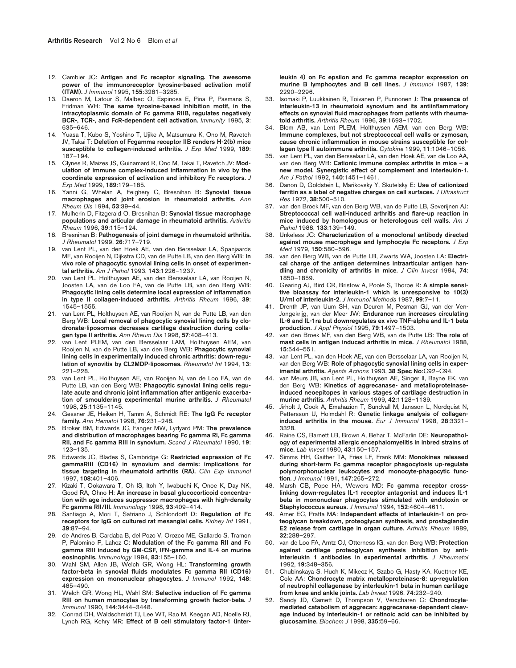- 12. Cambier JC: **Antigen and Fc receptor signaling. The awesome power of the immunoreceptor tyrosine-based activation motif (ITAM).** *J Immunol* 1995, **155**:3281–3285.
- 13. Daeron M, Latour S, Malbec O, Espinosa E, Pina P, Pasmans S, Fridman WH: **The same tyrosine-based inhibition motif, in the intracytoplasmic domain of Fc gamma RIIB, regulates negatively BCR-, TCR-, and FcR-dependent cell activation.** *Immunity* 1995, **3**: 635–646.
- 14. Yuasa T, Kubo S, Yoshino T, Ujike A, Matsumura K, Ono M, Ravetch JV, Takai T: **Deletion of Fcgamma receptor IIB renders H-2(b) mice susceptible to collagen-induced arthritis.** *J Exp Med* 1999, **189**: 187–194.
- 15. Clynes R, Maizes JS, Guinamard R, Ono M, Takai T, Ravetch JV: **Modulation of immune complex-induced inflammation in vivo by the coordinate expression of activation and inhibitory Fc receptors.** *J Exp Med* 1999, **189**:179–185.
- 16. Yanni G, Whelan A, Feighery C, Bresnihan B: **Synovial tissue macrophages and joint erosion in rheumatoid arthritis.** *Ann Rheum Dis* 1994, **53**:39–44.
- 17. Mulherin D, Fitzgerald O, Bresnihan B: **Synovial tissue macrophage populations and articular damage in rheumatoid arthritis.** *Arthritis Rheum* 1996, **39**:115–124.
- 18. Bresnihan B: **Pathogenesis of joint damage in rheumatoid arthritis.** *J Rheumatol* 1999, **26**:717–719.
- 19. van Lent PL, van den Hoek AE, van den Bersselaar LA, Spanjaards MF, van Rooijen N, Dijkstra CD, van de Putte LB, van den Berg WB: **In vivo role of phagocytic synovial lining cells in onset of experimental arthritis.** *Am J Pathol* 1993, **143**:1226–1237.
- 20. van Lent PL, Holthuysen AE, van den Bersselaar LA, van Rooijen N, Joosten LA, van de Loo FA, van de Putte LB, van den Berg WB: **Phagocytic lining cells determine local expression of inflammation in type II collagen-induced arthritis.** *Arthritis Rheum* 1996, **39**: 1545–1555.
- 21. van Lent PL, Holthuysen AE, van Rooijen N, van de Putte LB, van den Berg WB: **Local removal of phagocytic synovial lining cells by clodronate-liposomes decreases cartilage destruction during collagen type II arthritis.** *Ann Rheum Dis* 1998, **57**:408–413.
- 22. van Lent PLEM, van den Bersselaar LAM, Holthuysen AEM, van Rooijen N, van de Putte LB, van den Berg WB: **Phagocytic synovial lining cells in experimentally induced chronic arthritis: down-regulation of synovitis by CL2MDP-liposomes.** *Rheumatol Int* 1994, **13**: 221–228.
- 23. van Lent PL, Holthuysen AE, van Rooijen N, van de Loo FA, van de Putte LB, van den Berg WB: **Phagocytic synovial lining cells regulate acute and chronic joint inflammation after antigenic exacerbation of smouldering experimental murine arthritis.** *J Rheumatol* 1998, **25**:1135–1145.
- 24. Gessner JE, Heiken H, Tamm A, Schmidt RE: **The IgG Fc receptor family.** *Ann Hematol* 1998, **76**:231–248.
- 25. Broker BM, Edwards JC, Fanger MW, Lydyard PM: **The prevalence and distribution of macrophages bearing Fc gamma RI, Fc gamma RII, and Fc gamma RIII in synovium.** *Scand J Rheumatol* 1990, **19**: 123–135.
- 26. Edwards JC, Blades S, Cambridge G: **Restricted expression of Fc gammaRIII (CD16) in synovium and dermis: implications for tissue targeting in rheumatoid arthritis (RA).** *Clin Exp Immunol* 1997, **108**:401–406.
- 27. Kizaki T, Ookawara T, Oh IS, Itoh Y, Iwabuchi K, Onoe K, Day NK, Good RA, Ohno H: **An increase in basal glucocorticoid concentration with age induces suppressor macrophages with high-density Fc gamma RII/III.** *Immunology* 1998, **93**:409–414.
- 28. Santiago A, Mori T, Satriano J, Schlondorff D: **Regulation of Fc receptors for IgG on cultured rat mesangial cells.** *Kidney Int* 1991, **39**:87–94.
- 29. de Andres B, Cardaba B, del Pozo V, Orozco ME, Gallardo S, Tramon P, Palomino P, Lahoz C: **Modulation of the Fc gamma RII and Fc gamma RIII induced by GM-CSF, IFN-gamma and IL-4 on murine eosinophils.** *Immunology* 1994, **83**:155–160.
- 30. Wahl SM, Allen JB, Welch GR, Wong HL: **Transforming growth factor-beta in synovial fluids modulates Fc gamma RII (CD16) expression on mononuclear phagocytes.** *J Immunol* 1992, **148**: 485–490.
- 31. Welch GR, Wong HL, Wahl SM: **Selective induction of Fc gamma RIII on human monocytes by transforming growth factor-beta.** *J Immunol* 1990, **144**:3444–3448.
- 32. Conrad DH, Waldschmidt TJ, Lee WT, Rao M, Keegan AD, Noelle RJ, Lynch RG, Kehry MR: **Effect of B cell stimulatory factor-1 (inter-**

**leukin 4) on Fc epsilon and Fc gamma receptor expression on murine B lymphocytes and B cell lines.** *J Immunol* 1987, **139**: 2290–2296.

- 33. Isomaki P, Luukkainen R, Toivanen P, Punnonen J: **The presence of interleukin-13 in rheumatoid synovium and its antiinflammatory effects on synovial fluid macrophages from patients with rheumatoid arthritis.** *Arthritis Rheum* 1996, **39**:1693–1702.
- 34. Blom AB, van Lent PLEM, Holthuysen AEM, van den Berg WB: **Immune complexes, but not streptococcal cell walls or zymosan, cause chronic inflammation in mouse strains susceptible for collagen type II autoimmune arthritis.** *Cytokine* 1999, **11**:1046–1056.
- 35. van Lent PL, van den Bersselaar LA, van den Hoek AE, van de Loo AA, van den Berg WB: **Cationic immune complex arthritis in mice – a new model. Synergistic effect of complement and interleukin-1.** *Am J Pathol* 1992, **140**:1451–1461.
- 36. Danon D, Goldstein L, Marikovsky Y, Skutelsky E: **Use of cationized ferritin as a label of negative charges on cell surfaces.** *J Ultrastruct Res* 1972, **38**:500–510.
- 37. van den Broek MF, van den Berg WB, van de Putte LB, Severijnen AJ: **Streptococcal cell wall-induced arthritis and flare-up reaction in mice induced by homologous or heterologous cell walls.** *Am J Pathol* 1988, **133**:139–149.
- 38. Unkeless JC: **Characterization of a monoclonal antibody directed against mouse macrophage and lymphocyte Fc receptors.** *J Exp Med* 1979, **150**:580–596.
- 39. van den Berg WB, van de Putte LB, Zwarts WA, Joosten LA: **Electrical charge of the antigen determines intraarticular antigen handling and chronicity of arthritis in mice.** *J Clin Invest* 1984, **74**: 1850–1859.
- 40. Gearing AJ, Bird CR, Bristow A, Poole S, Thorpe R: **A simple sensitive bioassay for interleukin-1 which is unresponsive to 10(3) U/ml of interleukin-2.** *J Immunol Methods* 1987, **99**:7–11.
- 41. Drenth JP, van Uum SH, van Deuren M, Pesman GJ, van der Ven-Jongekrijg, van der Meer JW: **Endurance run increases circulating IL-6 and IL-1ra but downregulates ex vivo TNF-alpha and IL-1 beta production.** *J Appl Physiol* 1995, **79**:1497–1503.
- 42. van den Broek MF, van den Berg WB, van de Putte LB: **The role of mast cells in antigen induced arthritis in mice.** *J Rheumatol* 1988, **15**:544–551.
- 43. van Lent PL, van den Hoek AE, van den Bersselaar LA, van Rooijen N, van den Berg WB: **Role of phagocytic synovial lining cells in experimental arthritis.** *Agents Actions* 1993, **38 Spec No**:C92–C94.
- 44. van Meurs JB, van Lent PL, Holthuysen AE, Singer II, Bayne EK, van den Berg WB: **Kinetics of aggrecanase- and metalloproteinaseinduced neoepitopes in various stages of cartilage destruction in murine arthritis.** *Arthritis Rheum* 1999, **42**:1128–1139.
- 45. Jirholt J, Cook A, Emahazion T, Sundvall M, Jansson L, Nordquist N, Pettersson U, Holmdahl R: **Genetic linkage analysis of collageninduced arthritis in the mouse.** *Eur J Immunol* 1998, **28**:3321– 3328.
- 46. Raine CS, Barnett LB, Brown A, Behar T, McFarlin DE: **Neuropathology of experimental allergic encephalomyelitis in inbred strains of mice.** *Lab Invest* 1980, **43**:150–157.
- 47. Simms HH, Gaither TA, Fries LF, Frank MM: **Monokines released during short-term Fc gamma receptor phagocytosis up-regulate polymorphonuclear leukocytes and monocyte-phagocytic function.** *J Immunol* 1991, **147**:265–272.
- 48. Marsh CB, Pope HA, Wewers MD: **Fc gamma receptor crosslinking down-regulates IL-1 receptor antagonist and induces IL-1 beta in mononuclear phagocytes stimulated with endotoxin or Staphylococcus aureus.** *J Immunol* 1994, **152**:4604–4611.
- 49. Arner EC, Pratta MA: **Independent effects of interleukin-1 on proteoglycan breakdown, proteoglycan synthesis, and prostaglandin E2 release from cartilage in organ culture.** *Arthritis Rheum* 1989, **32**:288–297.
- 50. van de Loo FA, Arntz OJ, Otterness IG, van den Berg WB: **Protection against cartilage proteoglycan synthesis inhibition by antiinterleukin 1 antibodies in experimental arthritis.** *J Rheumatol* 1992, **19**:348–356.
- 51. Chubinskaya S, Huch K, Mikecz K, Szabo G, Hasty KA, Kuettner KE, Cole AA: **Chondrocyte matrix metalloproteinase-8: up-regulation of neutrophil collagenase by interleukin-1 beta in human cartilage from knee and ankle joints.** *Lab Invest* 1996, **74**:232–240.
- 52. Sandy JD, Gamett D, Thompson V, Verscharen C: **Chondrocytemediated catabolism of aggrecan: aggrecanase-dependent cleavage induced by interleukin-1 or retinoic acid can be inhibited by glucosamine.** *Biochem J* 1998, **335**:59–66.